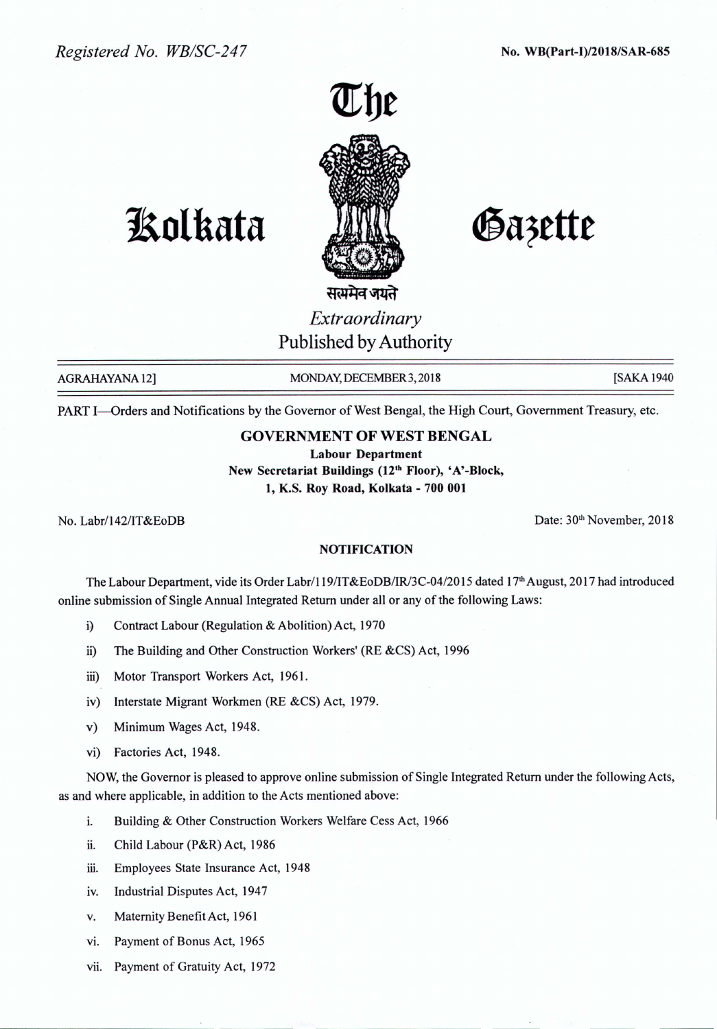*Registered No. WB/SC-247* No. WB(Part-I)/2018/SAR-685



# Gazette

**1!olkata**

सत्यमेव जयते *Extraordinary* Published by Authority

AGRAHAYANA 12] MONDAY, DECEMBER 3, 2018 [SAKA 1940]

PART I-Orders and Notifications by the Governor of West Bengal, the High Court, Government Treasury, etc.

# GOVERNMENT OF WEST BENGAL

Labour Department New Secretariat Buildings (12<sup>th</sup> Floor), 'A'-Block, 1, K.S. Roy Road, Kolkata - 700 001

No. Labr/142/IT&EoDB Date: 30<sup>th</sup> November, 2018

### NOTIFICATION

The Labour Department, vide its Order Labr/119/IT&EoDB/IR/3C-04/2015 dated 17<sup>th</sup> August, 2017 had introduced online submission of Single Annual Integrated Return under all or any of the following Laws:

- i) Contract Labour (Regulation & Abolition) Act, 1970
- ii) The Building and Other Construction Workers' (RE &CS) Act, 1996
- iii) Motor Transport Workers Act, 1961.
- iv) Interstate Migrant Workmen (RE &CS) Act, 1979.
- v) Minimum Wages Act, 1948.
- vi) Factories Act, 1948.

NOW, the Governor is pleased to approve online submission of Single Integrated Return under the following Acts, as and where applicable, in addition to the Acts mentioned above:

- i. Building & Other Construction Workers Welfare Cess Act, 1966
- ii. Child Labour (P&R) Act, 1986
- iii. Employees State Insurance Act, 1948
- iv. Industrial Disputes Act, 1947
- v. Maternity Benefit Act, 1961
- vi. Payment of Bonus Act, 1965
- vii. Payment of Gratuity Act, 1972